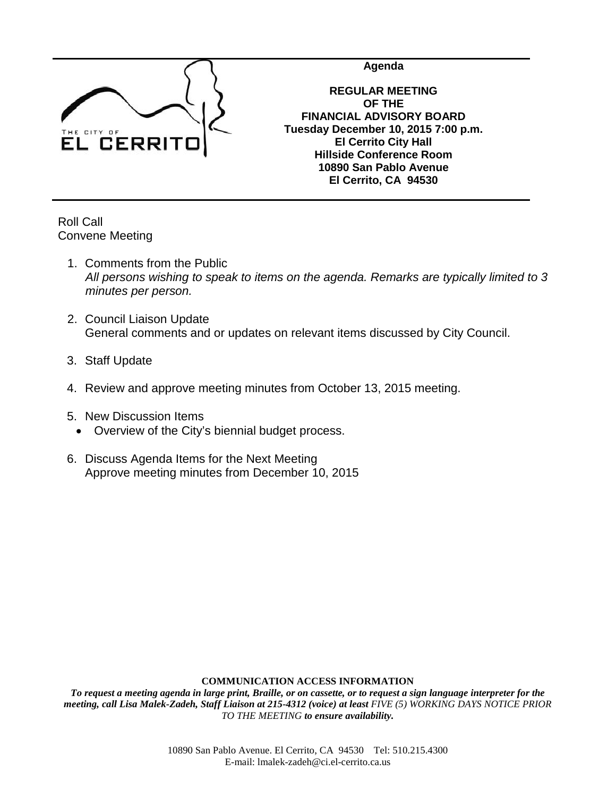

**Agenda**

**REGULAR MEETING OF THE FINANCIAL ADVISORY BOARD Tuesday December 10, 2015 7:00 p.m. El Cerrito City Hall Hillside Conference Room 10890 San Pablo Avenue El Cerrito, CA 94530**

Roll Call Convene Meeting

- 1. Comments from the Public *All persons wishing to speak to items on the agenda. Remarks are typically limited to 3 minutes per person.*
- 2. Council Liaison Update General comments and or updates on relevant items discussed by City Council.
- 3. Staff Update
- 4. Review and approve meeting minutes from October 13, 2015 meeting.
- 5. New Discussion Items
	- Overview of the City's biennial budget process.
- 6. Discuss Agenda Items for the Next Meeting Approve meeting minutes from December 10, 2015

## **COMMUNICATION ACCESS INFORMATION**

*To request a meeting agenda in large print, Braille, or on cassette, or to request a sign language interpreter for the meeting, call Lisa Malek-Zadeh, Staff Liaison at 215-4312 (voice) at least FIVE (5) WORKING DAYS NOTICE PRIOR TO THE MEETING to ensure availability.*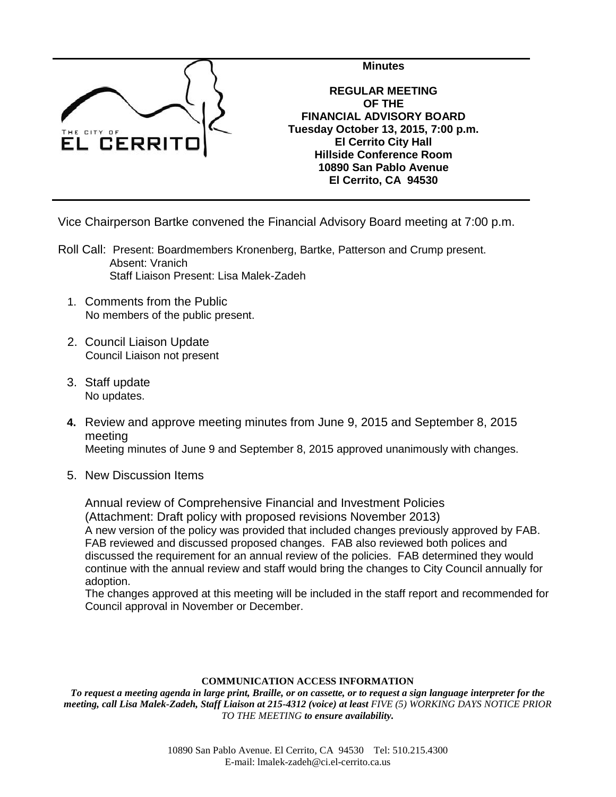

**REGULAR MEETING OF THE FINANCIAL ADVISORY BOARD Tuesday October 13, 2015, 7:00 p.m. El Cerrito City Hall Hillside Conference Room 10890 San Pablo Avenue El Cerrito, CA 94530**

**Minutes**

Vice Chairperson Bartke convened the Financial Advisory Board meeting at 7:00 p.m.

- Roll Call: Present: Boardmembers Kronenberg, Bartke, Patterson and Crump present. Absent: Vranich Staff Liaison Present: Lisa Malek-Zadeh
	- 1. Comments from the Public No members of the public present.
	- 2. Council Liaison Update Council Liaison not present
	- 3. Staff update No updates.
	- **4.** Review and approve meeting minutes from June 9, 2015 and September 8, 2015 meeting Meeting minutes of June 9 and September 8, 2015 approved unanimously with changes.
	- 5. New Discussion Items

Annual review of Comprehensive Financial and Investment Policies (Attachment: Draft policy with proposed revisions November 2013) A new version of the policy was provided that included changes previously approved by FAB. FAB reviewed and discussed proposed changes. FAB also reviewed both polices and discussed the requirement for an annual review of the policies. FAB determined they would continue with the annual review and staff would bring the changes to City Council annually for adoption.

The changes approved at this meeting will be included in the staff report and recommended for Council approval in November or December.

## **COMMUNICATION ACCESS INFORMATION**

*To request a meeting agenda in large print, Braille, or on cassette, or to request a sign language interpreter for the meeting, call Lisa Malek-Zadeh, Staff Liaison at 215-4312 (voice) at least FIVE (5) WORKING DAYS NOTICE PRIOR TO THE MEETING to ensure availability.*